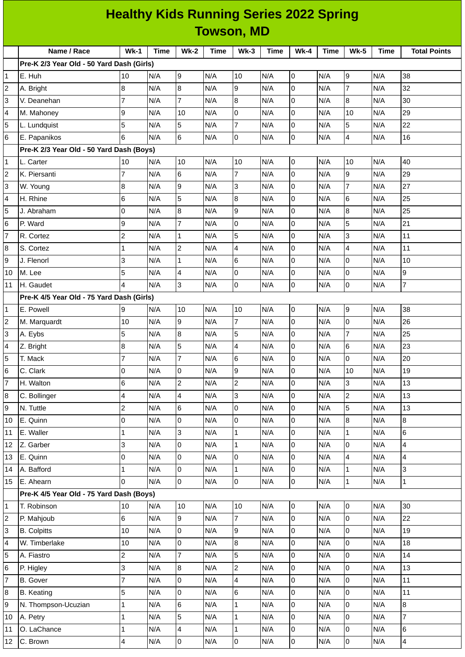| <b>Healthy Kids Running Series 2022 Spring</b><br><b>Towson, MD</b> |                                           |                          |             |                |             |                  |             |                |             |                         |             |                         |
|---------------------------------------------------------------------|-------------------------------------------|--------------------------|-------------|----------------|-------------|------------------|-------------|----------------|-------------|-------------------------|-------------|-------------------------|
|                                                                     |                                           |                          |             |                |             |                  |             |                |             |                         |             |                         |
|                                                                     | Name / Race                               | $Wk-1$                   | <b>Time</b> | $Wk-2$         | <b>Time</b> | $Wk-3$           | <b>Time</b> | $Wk-4$         | <b>Time</b> | <b>Wk-5</b>             | <b>Time</b> | <b>Total Points</b>     |
|                                                                     | Pre-K 2/3 Year Old - 50 Yard Dash (Girls) |                          |             |                |             |                  |             |                |             |                         |             |                         |
| $\mathbf{1}$                                                        | E. Huh                                    | 10                       | N/A         | 9              | N/A         | 10               | N/A         | $\overline{0}$ | N/A         | 9                       | N/A         | 38                      |
| 2                                                                   | A. Bright                                 | 8                        | N/A         | 8              | N/A         | 9                | N/A         | $\overline{0}$ | N/A         | $\overline{7}$          | N/A         | 32                      |
| 3                                                                   | V. Deanehan                               | $\overline{7}$           | N/A         | $\overline{7}$ | N/A         | $\boldsymbol{8}$ | N/A         | 0              | N/A         | 8                       | N/A         | 30                      |
| 4                                                                   | M. Mahoney                                | 9                        | N/A         | 10             | N/A         | 0                | N/A         | 0              | N/A         | 10                      | N/A         | 29                      |
| 5                                                                   | L. Lundquist                              | 5                        | N/A         | 5              | N/A         | $\overline{7}$   | N/A         | 0              | N/A         | 5                       | N/A         | 22                      |
| $6\phantom{.}6$                                                     | E. Papanikos                              | 6                        | N/A         | 6              | N/A         | $\overline{0}$   | N/A         | 0              | N/A         | $\overline{\mathbf{4}}$ | N/A         | 16                      |
|                                                                     | Pre-K 2/3 Year Old - 50 Yard Dash (Boys)  |                          |             |                |             |                  |             |                |             |                         |             |                         |
| 1                                                                   | L. Carter                                 | 10                       | N/A         | 10             | N/A         | 10               | N/A         | 0              | N/A         | 10                      | N/A         | 40                      |
| $\overline{c}$                                                      | K. Piersanti                              | $\overline{7}$           | N/A         | 6              | N/A         | $\overline{7}$   | N/A         | 0              | N/A         | 9                       | N/A         | 29                      |
| 3                                                                   | W. Young                                  | 8                        | N/A         | 9              | N/A         | 3                | N/A         | 0              | N/A         | $\overline{7}$          | N/A         | 27                      |
| 4                                                                   | H. Rhine                                  | 6                        | N/A         | 5              | N/A         | 8                | N/A         | 0              | N/A         | 6                       | N/A         | 25                      |
| 5                                                                   | J. Abraham                                | $\mathbf 0$              | N/A         | 8              | N/A         | 9                | N/A         | 0              | N/A         | $\overline{8}$          | N/A         | 25                      |
| 6                                                                   | P. Ward                                   | 9                        | N/A         | $\overline{7}$ | N/A         | 0                | N/A         | 0              | N/A         | 5                       | N/A         | 21                      |
| $\overline{7}$                                                      | R. Cortez                                 | $\overline{c}$           | N/A         | $\mathbf{1}$   | N/A         | 5                | N/A         | 0              | N/A         | 3                       | N/A         | 11                      |
| 8                                                                   | S. Cortez                                 | $\mathbf 1$              | N/A         | $\overline{c}$ | N/A         | 4                | N/A         | 0              | N/A         | $\overline{4}$          | N/A         | 11                      |
| 9                                                                   | J. Flenorl                                | 3                        | N/A         | $\mathbf{1}$   | N/A         | 6                | N/A         | 0              | N/A         | $\overline{0}$          | N/A         | 10                      |
| 10                                                                  | M. Lee                                    | 5                        | N/A         | 4              | N/A         | 0                | N/A         | 0              | N/A         | $\overline{0}$          | N/A         | 9                       |
| 11                                                                  | H. Gaudet                                 | $\overline{\mathcal{L}}$ | N/A         | 3              | N/A         | 0                | N/A         | $\overline{0}$ | N/A         | $\overline{0}$          | N/A         | $\overline{7}$          |
|                                                                     | Pre-K 4/5 Year Old - 75 Yard Dash (Girls) |                          |             |                |             |                  |             |                |             |                         |             |                         |
| $\mathbf{1}$                                                        | E. Powell                                 | 9                        | N/A         | 10             | N/A         | 10               | N/A         | $\overline{0}$ | N/A         | 9                       | N/A         | 38                      |
| $\overline{c}$                                                      | M. Marquardt                              | 10                       | N/A         | 9              | N/A         | $\overline{7}$   | N/A         | 0              | N/A         | $\overline{0}$          | N/A         | 26                      |
| 3                                                                   | A. Eybs                                   | 5                        | N/A         | 8              | N/A         | 5                | N/A         | 0              | N/A         | $\overline{7}$          | N/A         | 25                      |
| 4                                                                   | Z. Bright                                 | 8                        | N/A         | 5              | N/A         | 4                | N/A         | 0              | N/A         | 6                       | N/A         | 23                      |
| 5                                                                   | T. Mack                                   | $\overline{7}$           | N/A         | 7              | N/A         | 6                | N/A         | 0              | N/A         | 0                       | N/A         | 20                      |
| $\,$ 6                                                              | C. Clark                                  | 0                        | N/A         | 0              | N/A         | 9                | N/A         | 0              | N/A         | 10                      | N/A         | 19                      |
| $\overline{7}$                                                      | H. Walton                                 | 6                        | N/A         | $\overline{2}$ | N/A         | $\overline{c}$   | N/A         | 0              | N/A         | 3                       | N/A         | 13                      |
| 8                                                                   | C. Bollinger                              | 4                        | N/A         | 4              | N/A         | 3                | N/A         | 0              | N/A         | $\overline{c}$          | N/A         | 13                      |
| 9                                                                   | N. Tuttle                                 | $\overline{c}$           | N/A         | 6              | N/A         | 0                | N/A         | 0              | N/A         | 5                       | N/A         | 13                      |
| 10                                                                  | E. Quinn                                  | 0                        | N/A         | 0              | N/A         | 0                | N/A         | 0              | N/A         | $\bf{8}$                | N/A         | 8                       |
| 11                                                                  | E. Waller                                 | $\mathbf 1$              | N/A         | $\overline{3}$ | N/A         | $\mathbf 1$      | N/A         | 0              | N/A         | $\mathbf 1$             | N/A         | 6                       |
| 12                                                                  | Z. Garber                                 | 3                        | N/A         | $\overline{0}$ | N/A         | $\mathbf 1$      | N/A         | 0              | N/A         | $\overline{0}$          | N/A         | $\overline{\mathbf{4}}$ |
| 13                                                                  | E. Quinn                                  | 0                        | N/A         | l0             | N/A         | 0                | N/A         | 0              | N/A         | 4                       | N/A         | $\pmb{4}$               |
| 14                                                                  | A. Bafford                                | $\mathbf{1}$             | N/A         | 0              | N/A         | $\mathbf{1}$     | N/A         | 0              | N/A         | $\mathbf 1$             | N/A         | $\overline{3}$          |
| 15                                                                  | E. Ahearn                                 | 0                        | N/A         | l0             | N/A         | 0                | N/A         | 0              | N/A         | $\mathbf 1$             | N/A         | $\overline{1}$          |
|                                                                     | Pre-K 4/5 Year Old - 75 Yard Dash (Boys)  |                          |             |                |             |                  |             |                |             |                         |             |                         |
| $\mathbf 1$                                                         | T. Robinson                               | 10                       | N/A         | 10             | N/A         | 10               | N/A         | $\overline{0}$ | N/A         | $\overline{0}$          | N/A         | 30                      |
| $\mathbf 2$                                                         | P. Mahjoub                                | 6                        | N/A         | 9              | N/A         | $\overline{7}$   | N/A         | $\overline{0}$ | N/A         | $\mathsf{O}$            | N/A         | 22                      |
| 3                                                                   | <b>B.</b> Colpitts                        | $10\,$                   | N/A         | $\overline{0}$ | N/A         | 9                | N/A         | 0              | N/A         | $\overline{0}$          | N/A         | 19                      |
| 4                                                                   | W. Timberlake                             | 10                       | N/A         | $\overline{0}$ | N/A         | $\bf{8}$         | N/A         | 0              | N/A         | $\overline{0}$          | N/A         | 18                      |
| 5                                                                   | A. Fiastro                                | $\overline{c}$           | N/A         | $\overline{7}$ | N/A         | 5                | N/A         | 0              | N/A         | $\mathsf{O}$            | N/A         | 14                      |
| 6                                                                   | P. Higley                                 | 3                        | N/A         | 8              | N/A         | $\overline{c}$   | N/A         | 0              | N/A         | $\mathsf 0$             | N/A         | 13                      |
| 7                                                                   | <b>B.</b> Gover                           | $\overline{7}$           | N/A         | $\overline{0}$ | N/A         | 4                | N/A         | 0              | N/A         | $\overline{0}$          | N/A         | 11                      |
| 8                                                                   | <b>B.</b> Keating                         | 5                        | N/A         | $\overline{0}$ | N/A         | 6                | N/A         | 0              | N/A         | $\overline{0}$          | N/A         | 11                      |
| 9                                                                   | N. Thompson-Ucuzian                       | $\mathbf 1$              | N/A         | 6              | N/A         | $\mathbf 1$      | N/A         | 0              | N/A         | $\overline{0}$          | N/A         | 8                       |
| 10                                                                  | A. Petry                                  | $\mathbf{1}$             | N/A         | 5              | N/A         | $\mathbf 1$      | N/A         | 0              | N/A         | $\overline{0}$          | N/A         | $\overline{7}$          |
| $11\,$                                                              | O. LaChance                               | $\mathbf 1$              | N/A         | 4              | N/A         | $\mathbf 1$      | N/A         | 0              | N/A         | $\overline{0}$          | N/A         | 6                       |
| 12                                                                  | C. Brown                                  | 4                        | N/A         | $\overline{0}$ | N/A         | 0                | N/A         | 0              | N/A         | $\overline{0}$          | N/A         | $\overline{4}$          |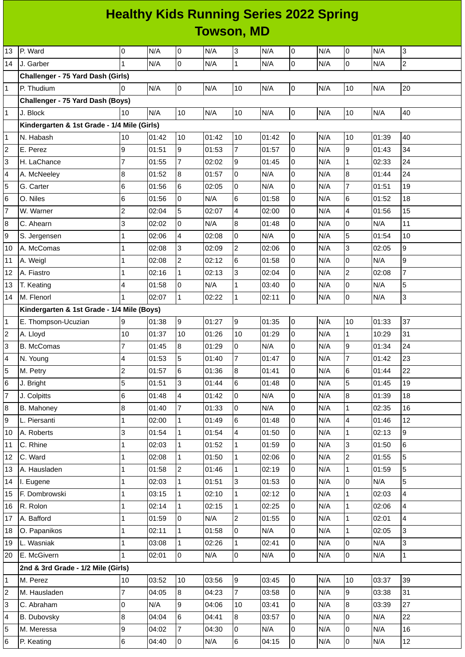## **Healthy Kids Running Series 2022 Spring Towson, MD**

| 13                      | P. Ward                                     | 0              | N/A   | 0              | N/A   | 3                       | N/A   | $\overline{0}$ | N/A | 0              | N/A   | 3                       |
|-------------------------|---------------------------------------------|----------------|-------|----------------|-------|-------------------------|-------|----------------|-----|----------------|-------|-------------------------|
| 14                      | J. Garber                                   | $\mathbf{1}$   | N/A   | 0              | N/A   | $\mathbf 1$             | N/A   | $\overline{0}$ | N/A | 0              | N/A   | $\overline{c}$          |
|                         | Challenger - 75 Yard Dash (Girls)           |                |       |                |       |                         |       |                |     |                |       |                         |
| $\mathbf{1}$            | P. Thudium                                  | $\Omega$       | N/A   | 0              | N/A   | $10\,$                  | N/A   | $\overline{0}$ | N/A | 10             | N/A   | 20                      |
|                         | Challenger - 75 Yard Dash (Boys)            |                |       |                |       |                         |       |                |     |                |       |                         |
| $\mathbf{1}$            | J. Block                                    | 10             | N/A   | 10             | N/A   | $10\,$                  | N/A   | $\overline{0}$ | N/A | 10             | N/A   | 40                      |
|                         | Kindergarten & 1st Grade - 1/4 Mile (Girls) |                |       |                |       |                         |       |                |     |                |       |                         |
| 1                       | N. Habash                                   | 10             | 01:42 | 10             | 01:42 | $10\,$                  | 01:42 | $\overline{0}$ | N/A | 10             | 01:39 | 40                      |
| 2                       | E. Perez                                    | 9              | 01:51 | 9              | 01:53 | $\overline{7}$          | 01:57 | $\overline{0}$ | N/A | 9              | 01:43 | 34                      |
| 3                       | H. LaChance                                 | $\overline{7}$ | 01:55 | $\overline{7}$ | 02:02 | 9                       | 01:45 | 0              | N/A | $\mathbf 1$    | 02:33 | 24                      |
| 4                       | A. McNeeley                                 | 8              | 01:52 | 8              | 01:57 | 0                       | N/A   | $\overline{0}$ | N/A | 8              | 01:44 | 24                      |
| 5                       | G. Carter                                   | 6              | 01:56 | 6              | 02:05 | 0                       | N/A   | 0              | N/A | $\overline{7}$ | 01:51 | 19                      |
| 6                       | O. Niles                                    | 6              | 01:56 | 0              | N/A   | 6                       | 01:58 | $\overline{0}$ | N/A | 6              | 01:52 | 18                      |
| $\overline{7}$          | W. Warner                                   | $\overline{c}$ | 02:04 | 5              | 02:07 | 4                       | 02:00 | $\overline{0}$ | N/A | 4              | 01:56 | 15                      |
| 8                       | C. Ahearn                                   | 3              | 02:02 | 0              | N/A   | 8                       | 01:48 | 0              | N/A | 0              | N/A   | 11                      |
| 9                       | S. Jergensen                                | 1              | 02:06 | 4              | 02:08 | 0                       | N/A   | 0              | N/A | 5              | 01:54 | 10                      |
| 10                      | A. McComas                                  | 1              | 02:08 | 3              | 02:09 | $\overline{\mathbf{c}}$ | 02:06 | 0              | N/A | 3              | 02:05 | 9                       |
| 11                      | A. Weigl                                    | 1              | 02:08 | $\overline{2}$ | 02:12 | 6                       | 01:58 | 0              | N/A | 0              | N/A   | $\overline{9}$          |
| 12                      | A. Fiastro                                  | 1              | 02:16 | $\mathbf{1}$   | 02:13 | 3                       | 02:04 | $\overline{0}$ | N/A | $\overline{c}$ | 02:08 | $\overline{7}$          |
| 13                      | T. Keating                                  | 4              | 01:58 | 0              | N/A   | $\mathbf 1$             | 03:40 | 0              | N/A | 0              | N/A   | 5                       |
| 14                      | M. Flenorl                                  | 1              | 02:07 | $\mathbf{1}$   | 02:22 | $\mathbf 1$             | 02:11 | 0              | N/A | 0              | N/A   | 3                       |
|                         | Kindergarten & 1st Grade - 1/4 Mile (Boys)  |                |       |                |       |                         |       |                |     |                |       |                         |
| $\mathbf{1}$            | E. Thompson-Ucuzian                         | 9              | 01:38 | 9              | 01:27 | 9                       | 01:35 | $\overline{0}$ | N/A | 10             | 01:33 | 37                      |
| 2                       | A. Lloyd                                    | 10             | 01:37 | 10             | 01:26 | 10                      | 01:29 | $\overline{0}$ | N/A | $\mathbf 1$    | 10:29 | 31                      |
| 3                       | <b>B.</b> McComas                           | $\overline{7}$ | 01:45 | 8              | 01:29 | 0                       | N/A   | 0              | N/A | 9              | 01:34 | 24                      |
| 4                       | N. Young                                    | 4              | 01:53 | 5              | 01:40 | $\overline{7}$          | 01:47 | $\overline{0}$ | N/A | $\overline{7}$ | 01:42 | 23                      |
| 5                       | M. Petry                                    | 2              | 01:57 | 6              | 01:36 | 8                       | 01:41 | 0              | N/A | 6              | 01:44 | 22                      |
| 6                       | J. Bright                                   | 5              | 01:51 | 3              | 01:44 | $6\phantom{.}6$         | 01:48 | $\overline{0}$ | N/A | 5              | 01:45 | 19                      |
| $\overline{7}$          | J. Colpitts                                 | 6              | 01:48 | $\overline{4}$ | 01:42 | 0                       | N/A   | 0              | N/A | 8              | 01:39 | 18                      |
| 8                       | B. Mahoney                                  | $\, 8$         | 01:40 | $\overline{7}$ | 01:33 | 0                       | N/A   | $\overline{0}$ | N/A | $\mathbf 1$    | 02:35 | 16                      |
| 9                       | L. Piersanti                                | 1              | 02:00 | $\mathbf{1}$   | 01:49 | 6                       | 01:48 | 0              | N/A | 4              | 01:46 | 12                      |
| 10                      | A. Roberts                                  | 3              | 01:54 | 1              | 01:54 | 4                       | 01:50 | $\overline{0}$ | N/A | $\mathbf 1$    | 02:13 | $\overline{9}$          |
| 11                      | C. Rhine                                    | 1              | 02:03 | $\mathbf{1}$   | 01:52 | $\mathbf{1}$            | 01:59 | $\overline{0}$ | N/A | 3              | 01:50 | 6                       |
| 12                      | C. Ward                                     | $\mathbf{1}$   | 02:08 | $\mathbf{1}$   | 01:50 | $\mathbf 1$             | 02:06 | $\overline{0}$ | N/A | $\overline{c}$ | 01:55 | 5                       |
| 13                      | A. Hausladen                                | 1              | 01:58 | $\overline{c}$ | 01:46 | $\mathbf{1}$            | 02:19 | 0              | N/A | $\mathbf 1$    | 01:59 | 5                       |
| 14                      | I. Eugene                                   | $\mathbf{1}$   | 02:03 | $\mathbf{1}$   | 01:51 | 3                       | 01:53 | $\overline{0}$ | N/A | 0              | N/A   | 5                       |
| 15                      | F. Dombrowski                               | 1              | 03:15 | $\mathbf{1}$   | 02:10 | $\mathbf 1$             | 02:12 | 0              | N/A | $\mathbf 1$    | 02:03 | $\overline{4}$          |
| 16                      | R. Rolon                                    | $\mathbf 1$    | 02:14 | $\mathbf{1}$   | 02:15 | $\mathbf{1}$            | 02:25 | $\overline{0}$ | N/A | $\mathbf 1$    | 02:06 | $\overline{\mathbf{4}}$ |
| 17                      | A. Bafford                                  | 1              | 01:59 | $\overline{0}$ | N/A   | $\overline{c}$          | 01:55 | 0              | N/A | $\mathbf{1}$   | 02:01 | $\overline{\mathbf{4}}$ |
| 18                      | O. Papanikos                                | $\mathbf{1}$   | 02:11 | $\mathbf{1}$   | 01:58 | 0                       | N/A   | $\overline{0}$ | N/A | $\mathbf{1}$   | 02:05 | 3                       |
| 19                      | L. Wasniak                                  | 1              | 03:08 | 1              | 02:26 | $\mathbf{1}$            | 02:41 | $\overline{0}$ | N/A | 0              | N/A   | 3                       |
| 20                      | E. McGivern                                 | $\mathbf{1}$   | 02:01 | $\overline{0}$ | N/A   | 0                       | N/A   | $\overline{0}$ | N/A | 0              | N/A   | $\mathbf 1$             |
|                         | 2nd & 3rd Grade - 1/2 Mile (Girls)          |                |       |                |       |                         |       |                |     |                |       |                         |
| 1                       | M. Perez                                    | 10             | 03:52 | 10             | 03:56 | 9                       | 03:45 | $\overline{0}$ | N/A | 10             | 03:37 | 39                      |
| $\overline{\mathbf{c}}$ | M. Hausladen                                | $\overline{7}$ | 04:05 | 8              | 04:23 | $\overline{7}$          | 03:58 | $\overline{0}$ | N/A | 9              | 03:38 | 31                      |
| 3                       | C. Abraham                                  | $\pmb{0}$      | N/A   | 9              | 04:06 | 10                      | 03:41 | $\overline{0}$ | N/A | 8              | 03:39 | 27                      |
| 4                       | <b>B.</b> Dubovsky                          | 8              | 04:04 | 6              | 04:41 | 8                       | 03:57 | 0              | N/A | 0              | N/A   | 22                      |
| 5                       | M. Meressa                                  | 9              | 04:02 | $\overline{7}$ | 04:30 | 0                       | N/A   | 0              | N/A | 0              | N/A   | 16                      |
| 6                       | P. Keating                                  | $\,6$          | 04:40 | 0              | N/A   | 6                       | 04:15 | $\overline{0}$ | N/A | 0              | N/A   | 12                      |
|                         |                                             |                |       |                |       |                         |       |                |     |                |       |                         |